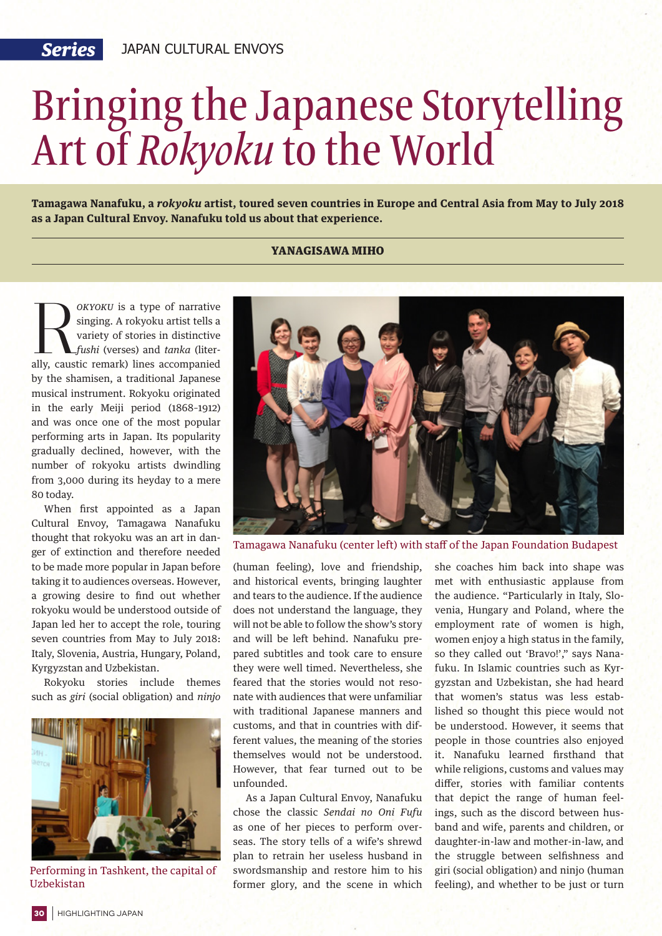## Bringing the Japanese Storytelling Art of *Rokyoku* to the World

**Tamagawa Nanafuku, a** *rokyoku* **artist, toured seven countries in Europe and Central Asia from May to July 2018 as a Japan Cultural Envoy. Nanafuku told us about that experience.**

## YANAGISAWA MIHO

*OKYOKU* is a type of narrative singing. A rokyoku artist tells a variety of stories in distinctive *fushi* (verses) and *tanka* (literally, caustic remark) lines accompanied singing. A rokyoku artist tells a variety of stories in distinctive *fushi* (verses) and *tanka* (literby the shamisen, a traditional Japanese musical instrument. Rokyoku originated in the early Meiji period (1868–1912) and was once one of the most popular performing arts in Japan. Its popularity gradually declined, however, with the number of rokyoku artists dwindling from 3,000 during its heyday to a mere 80 today.

When first appointed as a Japan Cultural Envoy, Tamagawa Nanafuku thought that rokyoku was an art in danger of extinction and therefore needed to be made more popular in Japan before taking it to audiences overseas. However, a growing desire to find out whether rokyoku would be understood outside of Japan led her to accept the role, touring seven countries from May to July 2018: Italy, Slovenia, Austria, Hungary, Poland, Kyrgyzstan and Uzbekistan.

Rokyoku stories include themes such as *giri* (social obligation) and *ninjo*



Performing in Tashkent, the capital of Uzbekistan



Tamagawa Nanafuku (center left) with staff of the Japan Foundation Budapest

(human feeling), love and friendship, and historical events, bringing laughter and tears to the audience. If the audience does not understand the language, they will not be able to follow the show's story and will be left behind. Nanafuku prepared subtitles and took care to ensure they were well timed. Nevertheless, she feared that the stories would not resonate with audiences that were unfamiliar with traditional Japanese manners and customs, and that in countries with different values, the meaning of the stories themselves would not be understood. However, that fear turned out to be unfounded.

As a Japan Cultural Envoy, Nanafuku chose the classic *Sendai no Oni Fufu* as one of her pieces to perform overseas. The story tells of a wife's shrewd plan to retrain her useless husband in swordsmanship and restore him to his former glory, and the scene in which she coaches him back into shape was met with enthusiastic applause from the audience. "Particularly in Italy, Slovenia, Hungary and Poland, where the employment rate of women is high, women enjoy a high status in the family, so they called out 'Bravo!'," says Nanafuku. In Islamic countries such as Kyrgyzstan and Uzbekistan, she had heard that women's status was less established so thought this piece would not be understood. However, it seems that people in those countries also enjoyed it. Nanafuku learned firsthand that while religions, customs and values may differ, stories with familiar contents that depict the range of human feelings, such as the discord between husband and wife, parents and children, or daughter-in-law and mother-in-law, and the struggle between selfishness and giri (social obligation) and ninjo (human feeling), and whether to be just or turn